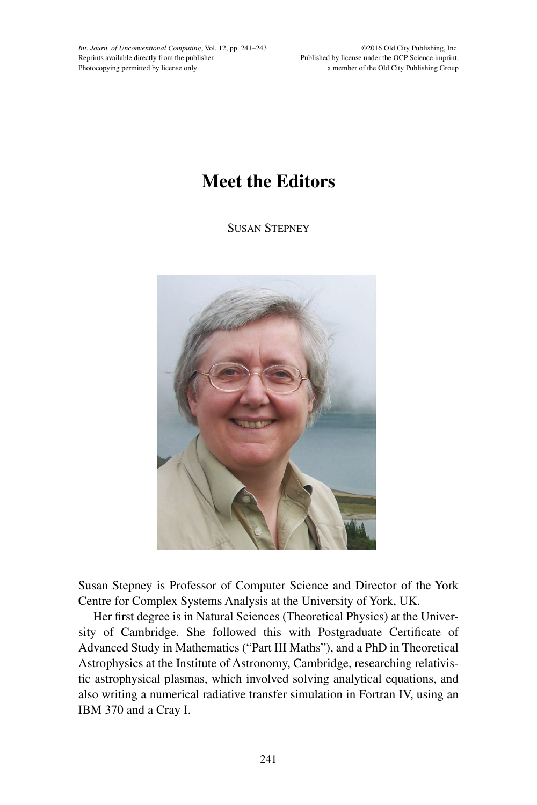*Int. Journ. of Unconventional Computing*, Vol. 12, pp. 241–243 Reprints available directly from the publisher Photocopying permitted by license only

©2016 Old City Publishing, Inc. Published by license under the OCP Science imprint, a member of the Old City Publishing Group

## **Meet the Editors**

Susan Stepney



Susan Stepney is Professor of Computer Science and Director of the York Centre for Complex Systems Analysis at the University of York, UK.

Her first degree is in Natural Sciences (Theoretical Physics) at the University of Cambridge. She followed this with Postgraduate Certificate of Advanced Study in Mathematics ("Part III Maths"), and a PhD in Theoretical Astrophysics at the Institute of Astronomy, Cambridge, researching relativistic astrophysical plasmas, which involved solving analytical equations, and also writing a numerical radiative transfer simulation in Fortran IV, using an IBM 370 and a Cray I.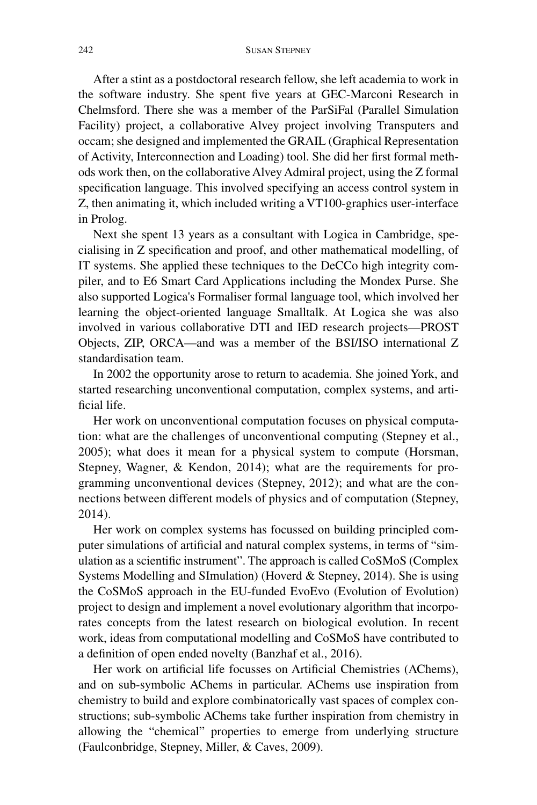After a stint as a postdoctoral research fellow, she left academia to work in the software industry. She spent five years at GEC-Marconi Research in Chelmsford. There she was a member of the ParSiFal (Parallel Simulation Facility) project, a collaborative Alvey project involving Transputers and occam; she designed and implemented the GRAIL (Graphical Representation of Activity, Interconnection and Loading) tool. She did her first formal methods work then, on the collaborative Alvey Admiral project, using the Z formal specification language. This involved specifying an access control system in Z, then animating it, which included writing a VT100-graphics user-interface in Prolog.

Next she spent 13 years as a consultant with Logica in Cambridge, specialising in Z specification and proof, and other mathematical modelling, of IT systems. She applied these techniques to the DeCCo high integrity compiler, and to E6 Smart Card Applications including the Mondex Purse. She also supported Logica's Formaliser formal language tool, which involved her learning the object-oriented language Smalltalk. At Logica she was also involved in various collaborative DTI and IED research projects—PROST Objects, ZIP, ORCA—and was a member of the BSI/ISO international Z standardisation team.

In 2002 the opportunity arose to return to academia. She joined York, and started researching unconventional computation, complex systems, and artificial life.

Her work on unconventional computation focuses on physical computation: what are the challenges of unconventional computing (Stepney et al., 2005); what does it mean for a physical system to compute (Horsman, Stepney, Wagner, & Kendon, 2014); what are the requirements for programming unconventional devices (Stepney, 2012); and what are the connections between different models of physics and of computation (Stepney, 2014).

Her work on complex systems has focussed on building principled computer simulations of artificial and natural complex systems, in terms of "simulation as a scientific instrument". The approach is called CoSMoS (Complex Systems Modelling and SImulation) (Hoverd & Stepney, 2014). She is using the CoSMoS approach in the EU-funded EvoEvo (Evolution of Evolution) project to design and implement a novel evolutionary algorithm that incorporates concepts from the latest research on biological evolution. In recent work, ideas from computational modelling and CoSMoS have contributed to a definition of open ended novelty (Banzhaf et al., 2016).

Her work on artificial life focusses on Artificial Chemistries (AChems), and on sub-symbolic AChems in particular. AChems use inspiration from chemistry to build and explore combinatorically vast spaces of complex constructions; sub-symbolic AChems take further inspiration from chemistry in allowing the "chemical" properties to emerge from underlying structure (Faulconbridge, Stepney, Miller, & Caves, 2009).